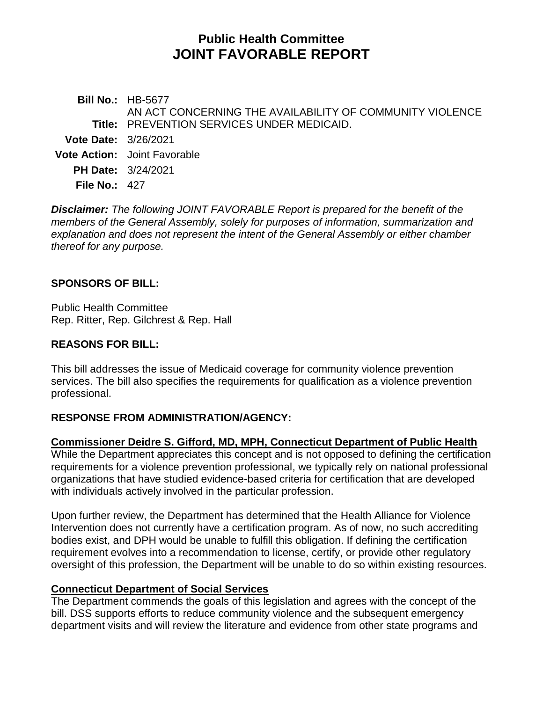# **Public Health Committee JOINT FAVORABLE REPORT**

**Bill No.:** HB-5677 **Title:** PREVENTION SERVICES UNDER MEDICAID. AN ACT CONCERNING THE AVAILABILITY OF COMMUNITY VIOLENCE **Vote Date:** 3/26/2021 **Vote Action:** Joint Favorable **PH Date:** 3/24/2021 **File No.:** 427

*Disclaimer: The following JOINT FAVORABLE Report is prepared for the benefit of the members of the General Assembly, solely for purposes of information, summarization and explanation and does not represent the intent of the General Assembly or either chamber thereof for any purpose.*

#### **SPONSORS OF BILL:**

Public Health Committee Rep. Ritter, Rep. Gilchrest & Rep. Hall

## **REASONS FOR BILL:**

This bill addresses the issue of Medicaid coverage for community violence prevention services. The bill also specifies the requirements for qualification as a violence prevention professional.

# **RESPONSE FROM ADMINISTRATION/AGENCY:**

## **Commissioner Deidre S. Gifford, MD, MPH, Connecticut Department of Public Health**

While the Department appreciates this concept and is not opposed to defining the certification requirements for a violence prevention professional, we typically rely on national professional organizations that have studied evidence-based criteria for certification that are developed with individuals actively involved in the particular profession.

Upon further review, the Department has determined that the Health Alliance for Violence Intervention does not currently have a certification program. As of now, no such accrediting bodies exist, and DPH would be unable to fulfill this obligation. If defining the certification requirement evolves into a recommendation to license, certify, or provide other regulatory oversight of this profession, the Department will be unable to do so within existing resources.

#### **Connecticut Department of Social Services**

The Department commends the goals of this legislation and agrees with the concept of the bill. DSS supports efforts to reduce community violence and the subsequent emergency department visits and will review the literature and evidence from other state programs and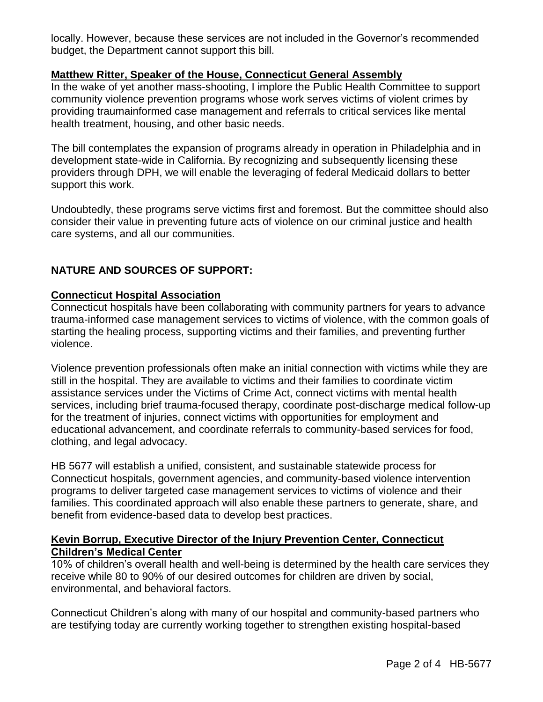locally. However, because these services are not included in the Governor's recommended budget, the Department cannot support this bill.

## **Matthew Ritter, Speaker of the House, Connecticut General Assembly**

In the wake of yet another mass-shooting, I implore the Public Health Committee to support community violence prevention programs whose work serves victims of violent crimes by providing traumainformed case management and referrals to critical services like mental health treatment, housing, and other basic needs.

The bill contemplates the expansion of programs already in operation in Philadelphia and in development state-wide in California. By recognizing and subsequently licensing these providers through DPH, we will enable the leveraging of federal Medicaid dollars to better support this work.

Undoubtedly, these programs serve victims first and foremost. But the committee should also consider their value in preventing future acts of violence on our criminal justice and health care systems, and all our communities.

# **NATURE AND SOURCES OF SUPPORT:**

## **Connecticut Hospital Association**

Connecticut hospitals have been collaborating with community partners for years to advance trauma-informed case management services to victims of violence, with the common goals of starting the healing process, supporting victims and their families, and preventing further violence.

Violence prevention professionals often make an initial connection with victims while they are still in the hospital. They are available to victims and their families to coordinate victim assistance services under the Victims of Crime Act, connect victims with mental health services, including brief trauma-focused therapy, coordinate post-discharge medical follow-up for the treatment of injuries, connect victims with opportunities for employment and educational advancement, and coordinate referrals to community-based services for food, clothing, and legal advocacy.

HB 5677 will establish a unified, consistent, and sustainable statewide process for Connecticut hospitals, government agencies, and community-based violence intervention programs to deliver targeted case management services to victims of violence and their families. This coordinated approach will also enable these partners to generate, share, and benefit from evidence-based data to develop best practices.

## **Kevin Borrup, Executive Director of the Injury Prevention Center, Connecticut Children's Medical Center**

10% of children's overall health and well-being is determined by the health care services they receive while 80 to 90% of our desired outcomes for children are driven by social, environmental, and behavioral factors.

Connecticut Children's along with many of our hospital and community-based partners who are testifying today are currently working together to strengthen existing hospital-based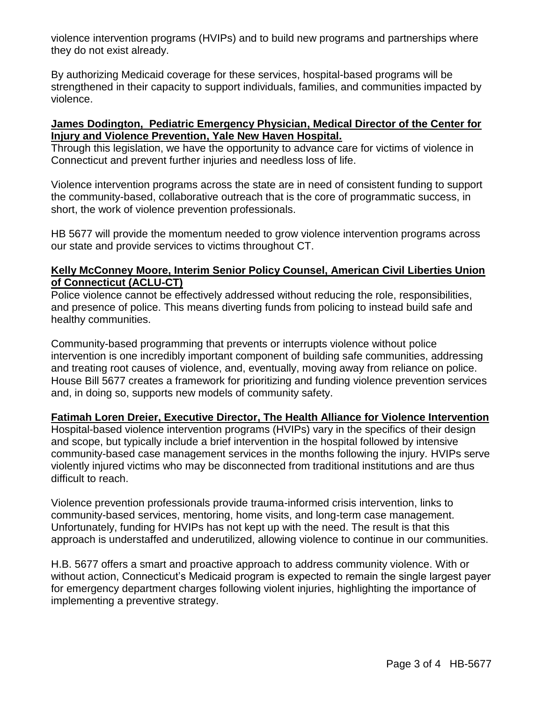violence intervention programs (HVIPs) and to build new programs and partnerships where they do not exist already.

By authorizing Medicaid coverage for these services, hospital-based programs will be strengthened in their capacity to support individuals, families, and communities impacted by violence.

#### **James Dodington, Pediatric Emergency Physician, Medical Director of the Center for Injury and Violence Prevention, Yale New Haven Hospital.**

Through this legislation, we have the opportunity to advance care for victims of violence in Connecticut and prevent further injuries and needless loss of life.

Violence intervention programs across the state are in need of consistent funding to support the community-based, collaborative outreach that is the core of programmatic success, in short, the work of violence prevention professionals.

HB 5677 will provide the momentum needed to grow violence intervention programs across our state and provide services to victims throughout CT.

#### **Kelly McConney Moore, Interim Senior Policy Counsel, American Civil Liberties Union of Connecticut (ACLU-CT)**

Police violence cannot be effectively addressed without reducing the role, responsibilities, and presence of police. This means diverting funds from policing to instead build safe and healthy communities.

Community-based programming that prevents or interrupts violence without police intervention is one incredibly important component of building safe communities, addressing and treating root causes of violence, and, eventually, moving away from reliance on police. House Bill 5677 creates a framework for prioritizing and funding violence prevention services and, in doing so, supports new models of community safety.

#### **Fatimah Loren Dreier, Executive Director, The Health Alliance for Violence Intervention**

Hospital-based violence intervention programs (HVIPs) vary in the specifics of their design and scope, but typically include a brief intervention in the hospital followed by intensive community-based case management services in the months following the injury. HVIPs serve violently injured victims who may be disconnected from traditional institutions and are thus difficult to reach.

Violence prevention professionals provide trauma-informed crisis intervention, links to community-based services, mentoring, home visits, and long-term case management. Unfortunately, funding for HVIPs has not kept up with the need. The result is that this approach is understaffed and underutilized, allowing violence to continue in our communities.

H.B. 5677 offers a smart and proactive approach to address community violence. With or without action, Connecticut's Medicaid program is expected to remain the single largest payer for emergency department charges following violent injuries, highlighting the importance of implementing a preventive strategy.